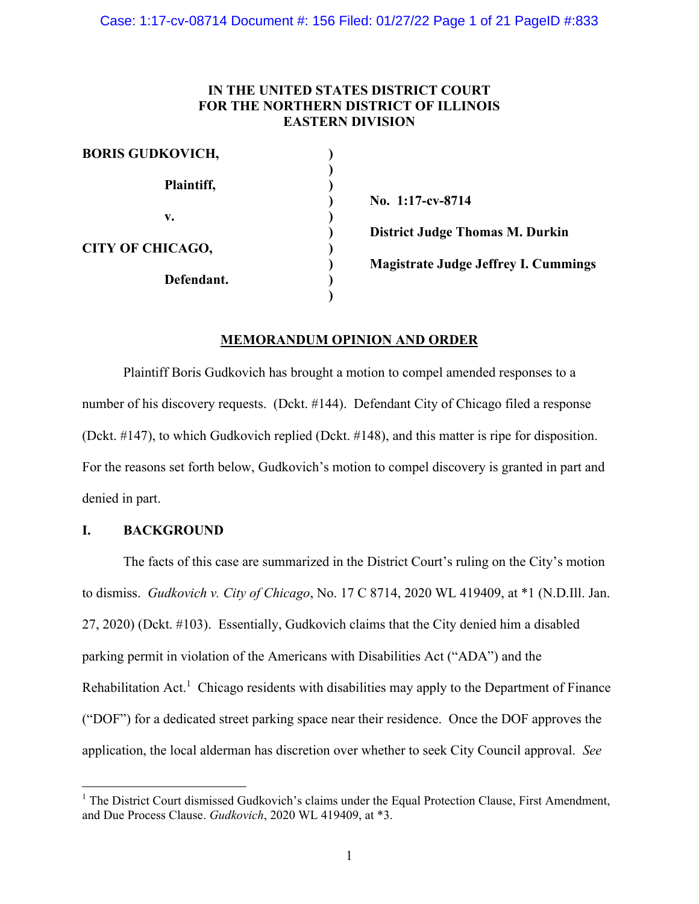### **IN THE UNITED STATES DISTRICT COURT FOR THE NORTHERN DISTRICT OF ILLINOIS EASTERN DIVISION**

| <b>BORIS GUDKOVICH,</b> |                                             |
|-------------------------|---------------------------------------------|
|                         |                                             |
| Plaintiff,              |                                             |
|                         | No. 1:17-cv-8714                            |
| v.                      |                                             |
|                         | <b>District Judge Thomas M. Durkin</b>      |
| <b>CITY OF CHICAGO,</b> |                                             |
|                         | <b>Magistrate Judge Jeffrey I. Cummings</b> |
| Defendant.              |                                             |
|                         |                                             |

### **MEMORANDUM OPINION AND ORDER**

Plaintiff Boris Gudkovich has brought a motion to compel amended responses to a number of his discovery requests. (Dckt. #144). Defendant City of Chicago filed a response (Dckt. #147), to which Gudkovich replied (Dckt. #148), and this matter is ripe for disposition. For the reasons set forth below, Gudkovich's motion to compel discovery is granted in part and denied in part.

### **I. BACKGROUND**

The facts of this case are summarized in the District Court's ruling on the City's motion to dismiss. *Gudkovich v. City of Chicago*, No. 17 C 8714, 2020 WL 419409, at \*1 (N.D.Ill. Jan. 27, 2020) (Dckt. #103). Essentially, Gudkovich claims that the City denied him a disabled parking permit in violation of the Americans with Disabilities Act ("ADA") and the Rehabilitation Act.<sup>1</sup> Chicago residents with disabilities may apply to the Department of Finance ("DOF") for a dedicated street parking space near their residence. Once the DOF approves the application, the local alderman has discretion over whether to seek City Council approval. *See* 

<sup>&</sup>lt;sup>1</sup> The District Court dismissed Gudkovich's claims under the Equal Protection Clause, First Amendment, and Due Process Clause. *Gudkovich*, 2020 WL 419409, at \*3.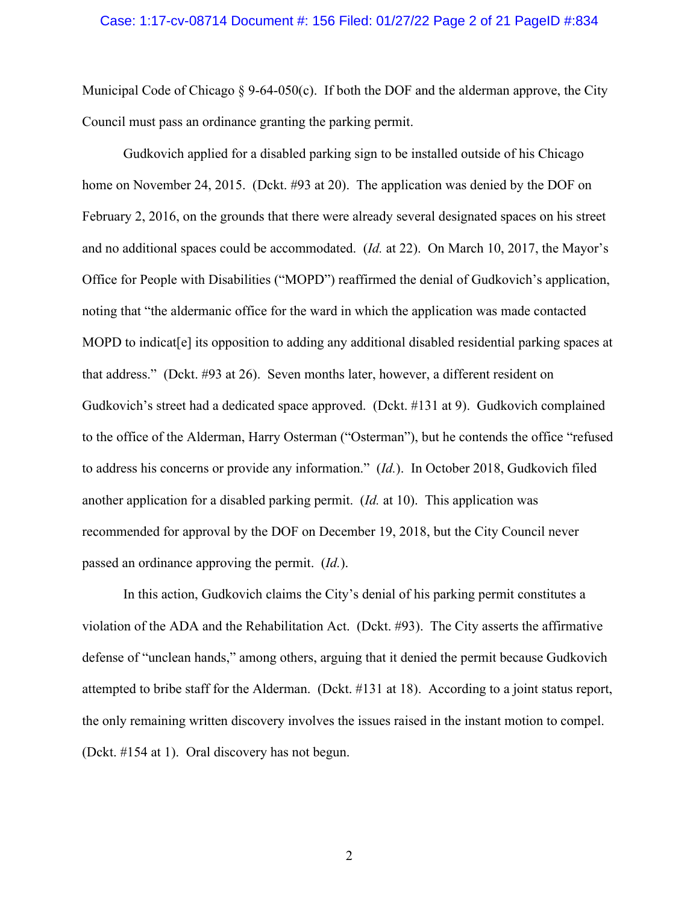#### Case: 1:17-cv-08714 Document #: 156 Filed: 01/27/22 Page 2 of 21 PageID #:834

Municipal Code of Chicago  $\S 9-64-050(c)$ . If both the DOF and the alderman approve, the City Council must pass an ordinance granting the parking permit.

Gudkovich applied for a disabled parking sign to be installed outside of his Chicago home on November 24, 2015. (Dckt. #93 at 20). The application was denied by the DOF on February 2, 2016, on the grounds that there were already several designated spaces on his street and no additional spaces could be accommodated. (*Id.* at 22). On March 10, 2017, the Mayor's Office for People with Disabilities ("MOPD") reaffirmed the denial of Gudkovich's application, noting that "the aldermanic office for the ward in which the application was made contacted MOPD to indicat[e] its opposition to adding any additional disabled residential parking spaces at that address." (Dckt. #93 at 26). Seven months later, however, a different resident on Gudkovich's street had a dedicated space approved. (Dckt. #131 at 9). Gudkovich complained to the office of the Alderman, Harry Osterman ("Osterman"), but he contends the office "refused to address his concerns or provide any information." (*Id.*). In October 2018, Gudkovich filed another application for a disabled parking permit. (*Id.* at 10). This application was recommended for approval by the DOF on December 19, 2018, but the City Council never passed an ordinance approving the permit. (*Id.*).

In this action, Gudkovich claims the City's denial of his parking permit constitutes a violation of the ADA and the Rehabilitation Act. (Dckt. #93). The City asserts the affirmative defense of "unclean hands," among others, arguing that it denied the permit because Gudkovich attempted to bribe staff for the Alderman. (Dckt. #131 at 18). According to a joint status report, the only remaining written discovery involves the issues raised in the instant motion to compel. (Dckt. #154 at 1). Oral discovery has not begun.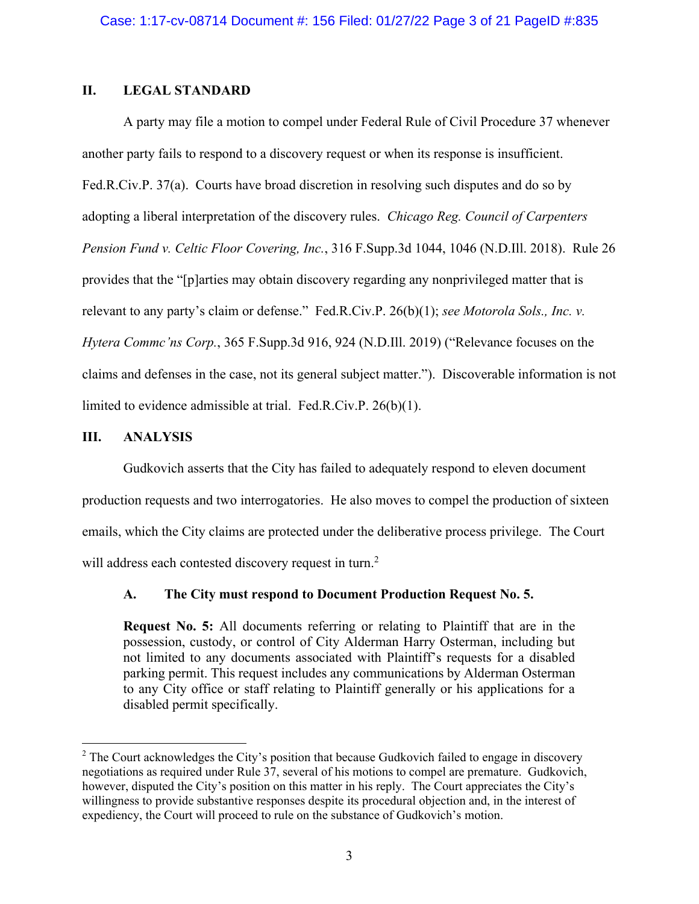## **II. LEGAL STANDARD**

A party may file a motion to compel under Federal Rule of Civil Procedure 37 whenever another party fails to respond to a discovery request or when its response is insufficient. Fed.R.Civ.P. 37(a). Courts have broad discretion in resolving such disputes and do so by adopting a liberal interpretation of the discovery rules. *Chicago Reg. Council of Carpenters Pension Fund v. Celtic Floor Covering, Inc.*, 316 F.Supp.3d 1044, 1046 (N.D.Ill. 2018). Rule 26 provides that the "[p]arties may obtain discovery regarding any nonprivileged matter that is relevant to any party's claim or defense." Fed.R.Civ.P. 26(b)(1); *see Motorola Sols., Inc. v. Hytera Commc'ns Corp.*, 365 F.Supp.3d 916, 924 (N.D.Ill. 2019) ("Relevance focuses on the claims and defenses in the case, not its general subject matter."). Discoverable information is not limited to evidence admissible at trial. Fed.R.Civ.P. 26(b)(1).

## **III. ANALYSIS**

Gudkovich asserts that the City has failed to adequately respond to eleven document production requests and two interrogatories. He also moves to compel the production of sixteen emails, which the City claims are protected under the deliberative process privilege. The Court will address each contested discovery request in turn.<sup>2</sup>

# **A. The City must respond to Document Production Request No. 5.**

**Request No. 5:** All documents referring or relating to Plaintiff that are in the possession, custody, or control of City Alderman Harry Osterman, including but not limited to any documents associated with Plaintiff's requests for a disabled parking permit. This request includes any communications by Alderman Osterman to any City office or staff relating to Plaintiff generally or his applications for a disabled permit specifically.

<sup>&</sup>lt;sup>2</sup> The Court acknowledges the City's position that because Gudkovich failed to engage in discovery negotiations as required under Rule 37, several of his motions to compel are premature. Gudkovich, however, disputed the City's position on this matter in his reply. The Court appreciates the City's willingness to provide substantive responses despite its procedural objection and, in the interest of expediency, the Court will proceed to rule on the substance of Gudkovich's motion.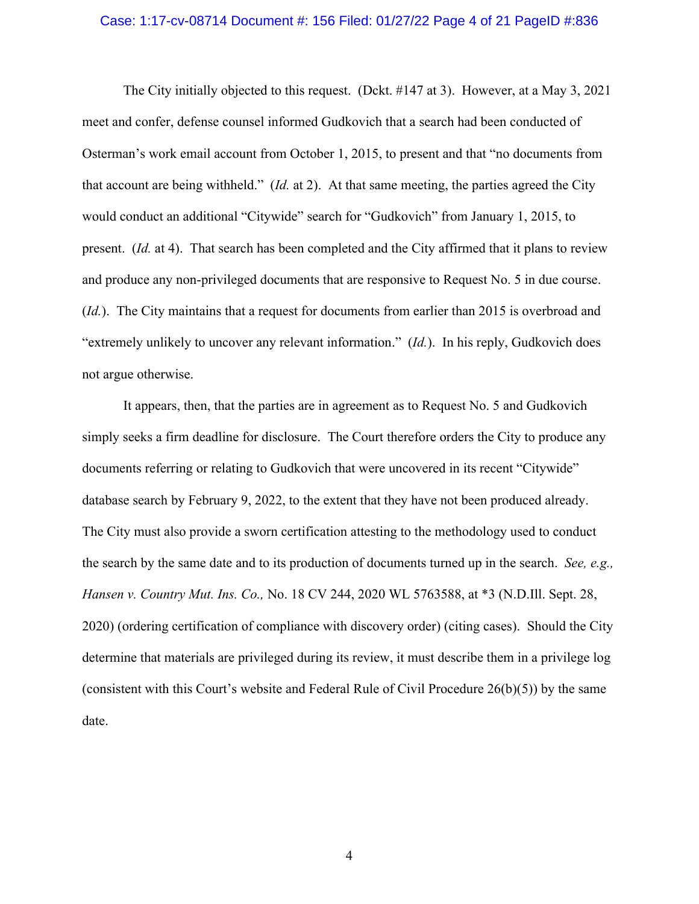#### Case: 1:17-cv-08714 Document #: 156 Filed: 01/27/22 Page 4 of 21 PageID #:836

The City initially objected to this request. (Dckt. #147 at 3). However, at a May 3, 2021 meet and confer, defense counsel informed Gudkovich that a search had been conducted of Osterman's work email account from October 1, 2015, to present and that "no documents from that account are being withheld." (*Id.* at 2). At that same meeting, the parties agreed the City would conduct an additional "Citywide" search for "Gudkovich" from January 1, 2015, to present. (*Id.* at 4). That search has been completed and the City affirmed that it plans to review and produce any non-privileged documents that are responsive to Request No. 5 in due course. (*Id.*). The City maintains that a request for documents from earlier than 2015 is overbroad and "extremely unlikely to uncover any relevant information." (*Id.*). In his reply, Gudkovich does not argue otherwise.

It appears, then, that the parties are in agreement as to Request No. 5 and Gudkovich simply seeks a firm deadline for disclosure. The Court therefore orders the City to produce any documents referring or relating to Gudkovich that were uncovered in its recent "Citywide" database search by February 9, 2022, to the extent that they have not been produced already. The City must also provide a sworn certification attesting to the methodology used to conduct the search by the same date and to its production of documents turned up in the search. *See, e.g., Hansen v. Country Mut. Ins. Co.,* No. 18 CV 244, 2020 WL 5763588, at \*3 (N.D.Ill. Sept. 28, 2020) (ordering certification of compliance with discovery order) (citing cases). Should the City determine that materials are privileged during its review, it must describe them in a privilege log (consistent with this Court's website and Federal Rule of Civil Procedure  $26(b)(5)$ ) by the same date.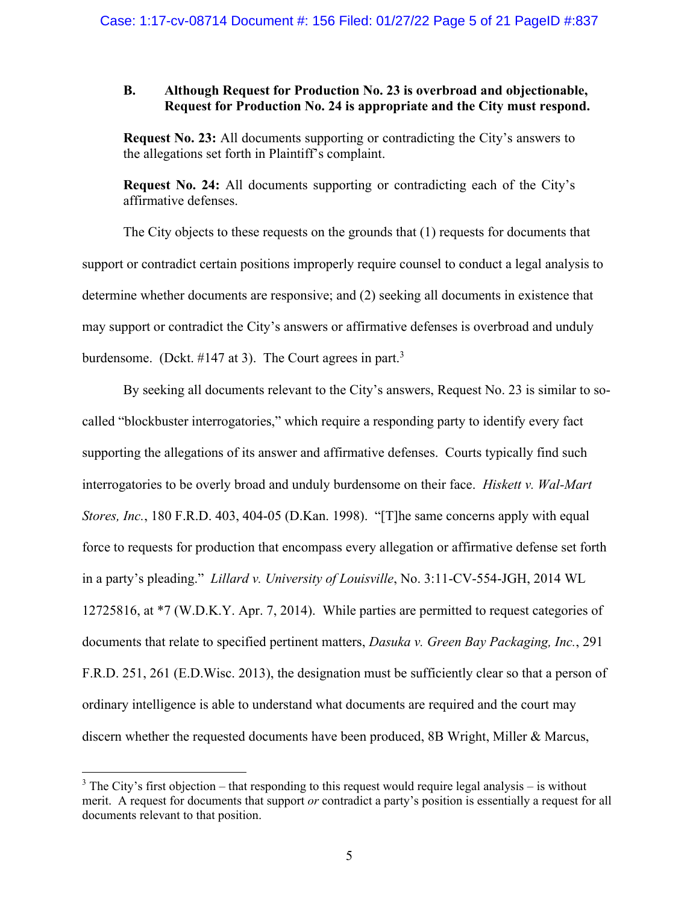### **B. Although Request for Production No. 23 is overbroad and objectionable, Request for Production No. 24 is appropriate and the City must respond.**

**Request No. 23:** All documents supporting or contradicting the City's answers to the allegations set forth in Plaintiff's complaint.

**Request No. 24:** All documents supporting or contradicting each of the City's affirmative defenses.

The City objects to these requests on the grounds that (1) requests for documents that support or contradict certain positions improperly require counsel to conduct a legal analysis to determine whether documents are responsive; and (2) seeking all documents in existence that may support or contradict the City's answers or affirmative defenses is overbroad and unduly burdensome. (Dckt. #147 at 3). The Court agrees in part.<sup>3</sup>

By seeking all documents relevant to the City's answers, Request No. 23 is similar to socalled "blockbuster interrogatories," which require a responding party to identify every fact supporting the allegations of its answer and affirmative defenses. Courts typically find such interrogatories to be overly broad and unduly burdensome on their face. *Hiskett v. Wal-Mart Stores, Inc.*, 180 F.R.D. 403, 404-05 (D.Kan. 1998). "[T]he same concerns apply with equal force to requests for production that encompass every allegation or affirmative defense set forth in a party's pleading." *Lillard v. University of Louisville*, No. 3:11-CV-554-JGH, 2014 WL 12725816, at \*7 (W.D.K.Y. Apr. 7, 2014). While parties are permitted to request categories of documents that relate to specified pertinent matters, *Dasuka v. Green Bay Packaging, Inc.*, 291 F.R.D. 251, 261 (E.D.Wisc. 2013), the designation must be sufficiently clear so that a person of ordinary intelligence is able to understand what documents are required and the court may discern whether the requested documents have been produced, 8B Wright, Miller & Marcus,

 $3$  The City's first objection – that responding to this request would require legal analysis – is without merit. A request for documents that support *or* contradict a party's position is essentially a request for all documents relevant to that position.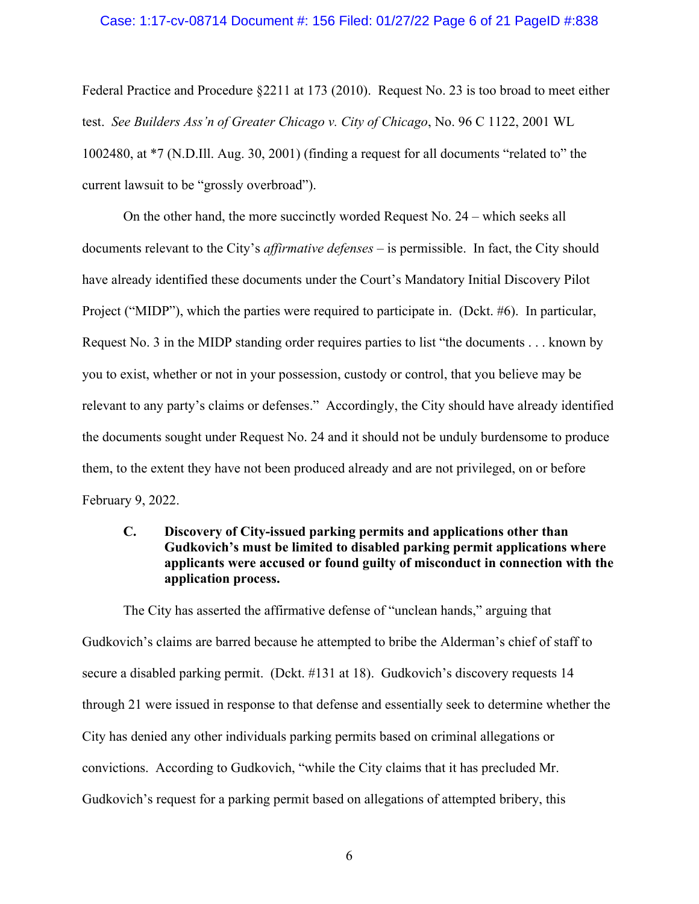#### Case: 1:17-cv-08714 Document #: 156 Filed: 01/27/22 Page 6 of 21 PageID #:838

Federal Practice and Procedure §2211 at 173 (2010). Request No. 23 is too broad to meet either test. *See Builders Ass'n of Greater Chicago v. City of Chicago*, No. 96 C 1122, 2001 WL 1002480, at \*7 (N.D.Ill. Aug. 30, 2001) (finding a request for all documents "related to" the current lawsuit to be "grossly overbroad").

On the other hand, the more succinctly worded Request No. 24 – which seeks all documents relevant to the City's *affirmative defenses* – is permissible. In fact, the City should have already identified these documents under the Court's Mandatory Initial Discovery Pilot Project ("MIDP"), which the parties were required to participate in. (Dckt. #6). In particular, Request No. 3 in the MIDP standing order requires parties to list "the documents . . . known by you to exist, whether or not in your possession, custody or control, that you believe may be relevant to any party's claims or defenses." Accordingly, the City should have already identified the documents sought under Request No. 24 and it should not be unduly burdensome to produce them, to the extent they have not been produced already and are not privileged, on or before February 9, 2022.

## **C. Discovery of City-issued parking permits and applications other than Gudkovich's must be limited to disabled parking permit applications where applicants were accused or found guilty of misconduct in connection with the application process.**

The City has asserted the affirmative defense of "unclean hands," arguing that Gudkovich's claims are barred because he attempted to bribe the Alderman's chief of staff to secure a disabled parking permit. (Dckt. #131 at 18). Gudkovich's discovery requests 14 through 21 were issued in response to that defense and essentially seek to determine whether the City has denied any other individuals parking permits based on criminal allegations or convictions. According to Gudkovich, "while the City claims that it has precluded Mr. Gudkovich's request for a parking permit based on allegations of attempted bribery, this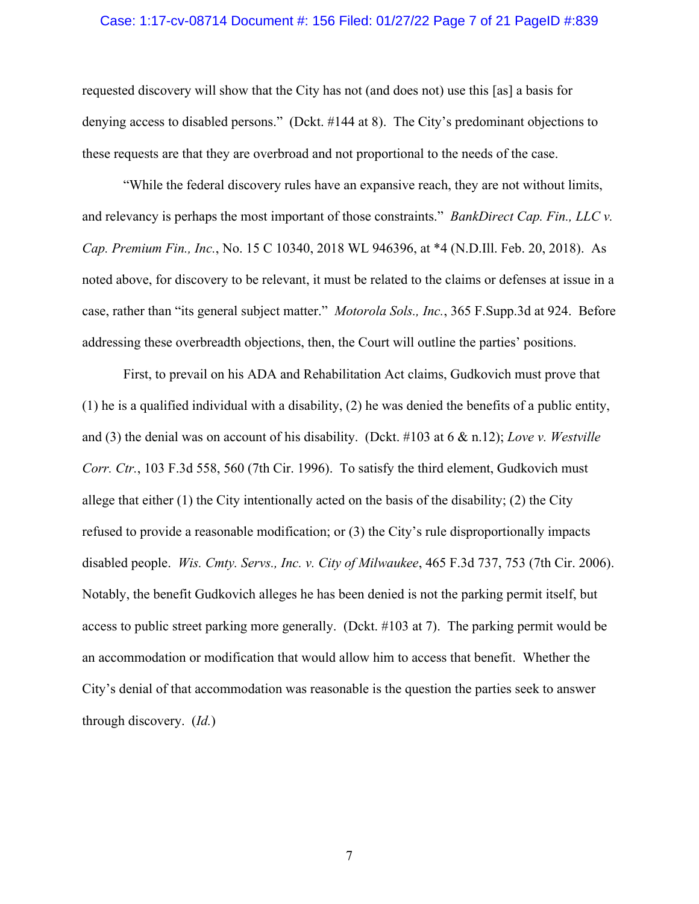#### Case: 1:17-cv-08714 Document #: 156 Filed: 01/27/22 Page 7 of 21 PageID #:839

requested discovery will show that the City has not (and does not) use this [as] a basis for denying access to disabled persons." (Dckt. #144 at 8). The City's predominant objections to these requests are that they are overbroad and not proportional to the needs of the case.

"While the federal discovery rules have an expansive reach, they are not without limits, and relevancy is perhaps the most important of those constraints." *BankDirect Cap. Fin., LLC v. Cap. Premium Fin., Inc.*, No. 15 C 10340, 2018 WL 946396, at \*4 (N.D.Ill. Feb. 20, 2018). As noted above, for discovery to be relevant, it must be related to the claims or defenses at issue in a case, rather than "its general subject matter." *Motorola Sols., Inc.*, 365 F.Supp.3d at 924. Before addressing these overbreadth objections, then, the Court will outline the parties' positions.

First, to prevail on his ADA and Rehabilitation Act claims, Gudkovich must prove that (1) he is a qualified individual with a disability, (2) he was denied the benefits of a public entity, and (3) the denial was on account of his disability. (Dckt. #103 at 6 & n.12); *Love v. Westville Corr. Ctr.*, 103 F.3d 558, 560 (7th Cir. 1996). To satisfy the third element, Gudkovich must allege that either  $(1)$  the City intentionally acted on the basis of the disability;  $(2)$  the City refused to provide a reasonable modification; or (3) the City's rule disproportionally impacts disabled people. *Wis. Cmty. Servs., Inc. v. City of Milwaukee*, 465 F.3d 737, 753 (7th Cir. 2006). Notably, the benefit Gudkovich alleges he has been denied is not the parking permit itself, but access to public street parking more generally. (Dckt. #103 at 7). The parking permit would be an accommodation or modification that would allow him to access that benefit. Whether the City's denial of that accommodation was reasonable is the question the parties seek to answer through discovery. (*Id.*)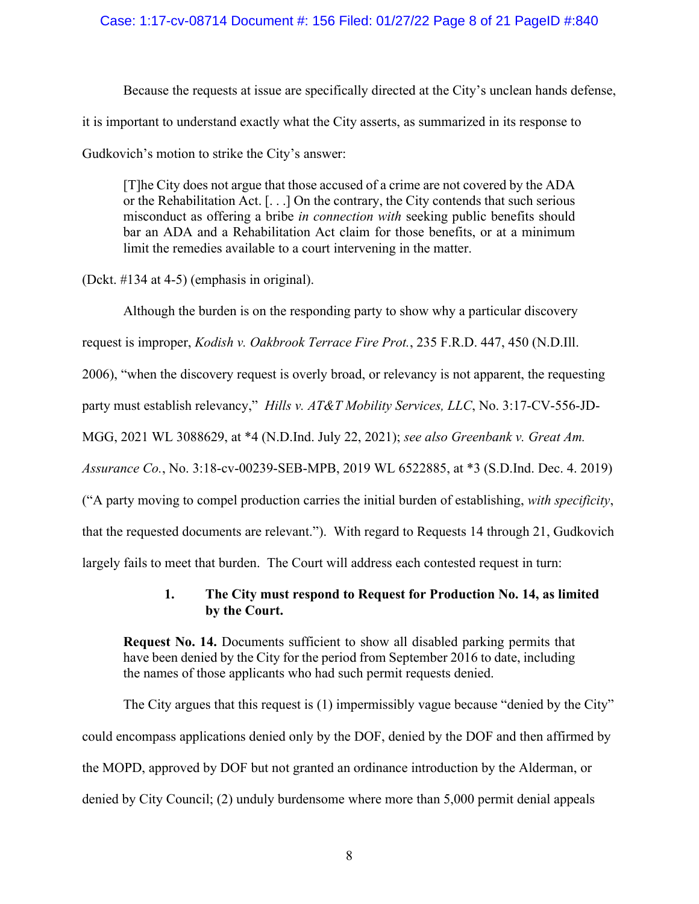### Case: 1:17-cv-08714 Document #: 156 Filed: 01/27/22 Page 8 of 21 PageID #:840

Because the requests at issue are specifically directed at the City's unclean hands defense, it is important to understand exactly what the City asserts, as summarized in its response to Gudkovich's motion to strike the City's answer:

[T]he City does not argue that those accused of a crime are not covered by the ADA or the Rehabilitation Act. [. . .] On the contrary, the City contends that such serious misconduct as offering a bribe *in connection with* seeking public benefits should bar an ADA and a Rehabilitation Act claim for those benefits, or at a minimum limit the remedies available to a court intervening in the matter.

(Dckt. #134 at 4-5) (emphasis in original).

Although the burden is on the responding party to show why a particular discovery request is improper, *Kodish v. Oakbrook Terrace Fire Prot.*, 235 F.R.D. 447, 450 (N.D.Ill. 2006), "when the discovery request is overly broad, or relevancy is not apparent, the requesting party must establish relevancy," *Hills v. AT&T Mobility Services, LLC*, No. 3:17-CV-556-JD-MGG, 2021 WL 3088629, at \*4 (N.D.Ind. July 22, 2021); *see also Greenbank v. Great Am. Assurance Co.*, No. 3:18-cv-00239-SEB-MPB, 2019 WL 6522885, at \*3 (S.D.Ind. Dec. 4. 2019) ("A party moving to compel production carries the initial burden of establishing, *with specificity*, that the requested documents are relevant."). With regard to Requests 14 through 21, Gudkovich largely fails to meet that burden. The Court will address each contested request in turn:

### **1. The City must respond to Request for Production No. 14, as limited by the Court.**

**Request No. 14.** Documents sufficient to show all disabled parking permits that have been denied by the City for the period from September 2016 to date, including the names of those applicants who had such permit requests denied.

The City argues that this request is (1) impermissibly vague because "denied by the City" could encompass applications denied only by the DOF, denied by the DOF and then affirmed by the MOPD, approved by DOF but not granted an ordinance introduction by the Alderman, or denied by City Council; (2) unduly burdensome where more than 5,000 permit denial appeals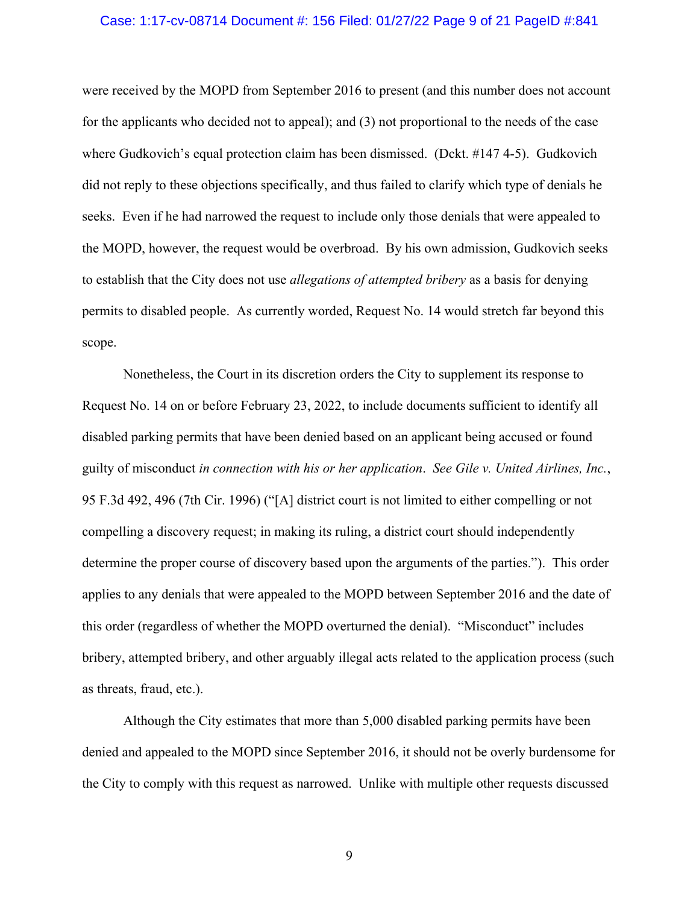#### Case: 1:17-cv-08714 Document #: 156 Filed: 01/27/22 Page 9 of 21 PageID #:841

were received by the MOPD from September 2016 to present (and this number does not account for the applicants who decided not to appeal); and (3) not proportional to the needs of the case where Gudkovich's equal protection claim has been dismissed. (Dckt. #147 4-5). Gudkovich did not reply to these objections specifically, and thus failed to clarify which type of denials he seeks. Even if he had narrowed the request to include only those denials that were appealed to the MOPD, however, the request would be overbroad. By his own admission, Gudkovich seeks to establish that the City does not use *allegations of attempted bribery* as a basis for denying permits to disabled people. As currently worded, Request No. 14 would stretch far beyond this scope.

Nonetheless, the Court in its discretion orders the City to supplement its response to Request No. 14 on or before February 23, 2022, to include documents sufficient to identify all disabled parking permits that have been denied based on an applicant being accused or found guilty of misconduct *in connection with his or her application*. *See Gile v. United Airlines, Inc.*, 95 F.3d 492, 496 (7th Cir. 1996) ("[A] district court is not limited to either compelling or not compelling a discovery request; in making its ruling, a district court should independently determine the proper course of discovery based upon the arguments of the parties."). This order applies to any denials that were appealed to the MOPD between September 2016 and the date of this order (regardless of whether the MOPD overturned the denial). "Misconduct" includes bribery, attempted bribery, and other arguably illegal acts related to the application process (such as threats, fraud, etc.).

Although the City estimates that more than 5,000 disabled parking permits have been denied and appealed to the MOPD since September 2016, it should not be overly burdensome for the City to comply with this request as narrowed. Unlike with multiple other requests discussed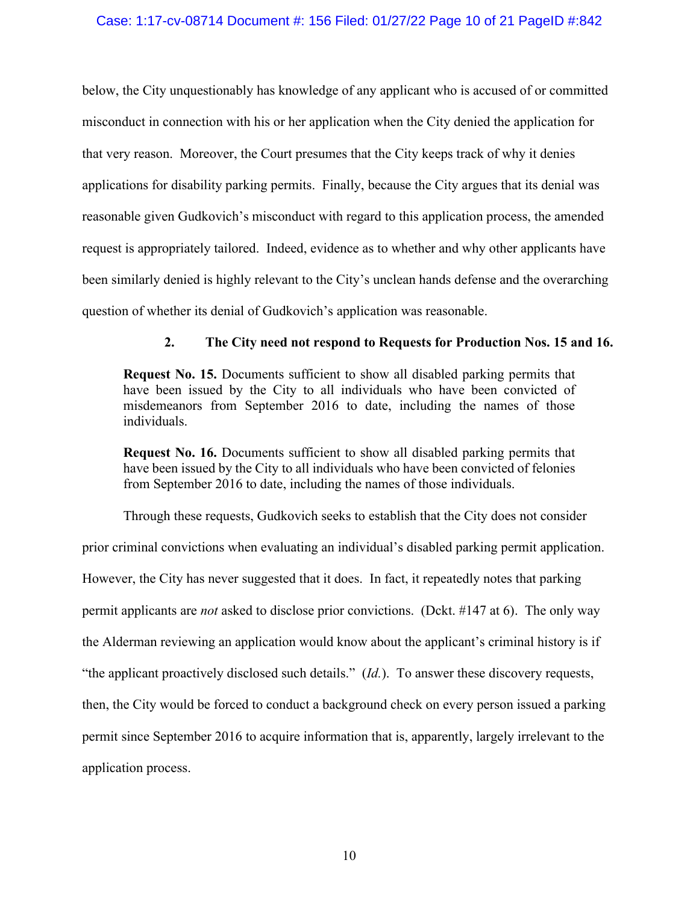### Case: 1:17-cv-08714 Document #: 156 Filed: 01/27/22 Page 10 of 21 PageID #:842

below, the City unquestionably has knowledge of any applicant who is accused of or committed misconduct in connection with his or her application when the City denied the application for that very reason. Moreover, the Court presumes that the City keeps track of why it denies applications for disability parking permits. Finally, because the City argues that its denial was reasonable given Gudkovich's misconduct with regard to this application process, the amended request is appropriately tailored. Indeed, evidence as to whether and why other applicants have been similarly denied is highly relevant to the City's unclean hands defense and the overarching question of whether its denial of Gudkovich's application was reasonable.

### **2. The City need not respond to Requests for Production Nos. 15 and 16.**

**Request No. 15.** Documents sufficient to show all disabled parking permits that have been issued by the City to all individuals who have been convicted of misdemeanors from September 2016 to date, including the names of those individuals.

**Request No. 16.** Documents sufficient to show all disabled parking permits that have been issued by the City to all individuals who have been convicted of felonies from September 2016 to date, including the names of those individuals.

Through these requests, Gudkovich seeks to establish that the City does not consider prior criminal convictions when evaluating an individual's disabled parking permit application. However, the City has never suggested that it does. In fact, it repeatedly notes that parking permit applicants are *not* asked to disclose prior convictions. (Dckt. #147 at 6). The only way the Alderman reviewing an application would know about the applicant's criminal history is if "the applicant proactively disclosed such details." (*Id.*). To answer these discovery requests, then, the City would be forced to conduct a background check on every person issued a parking permit since September 2016 to acquire information that is, apparently, largely irrelevant to the application process.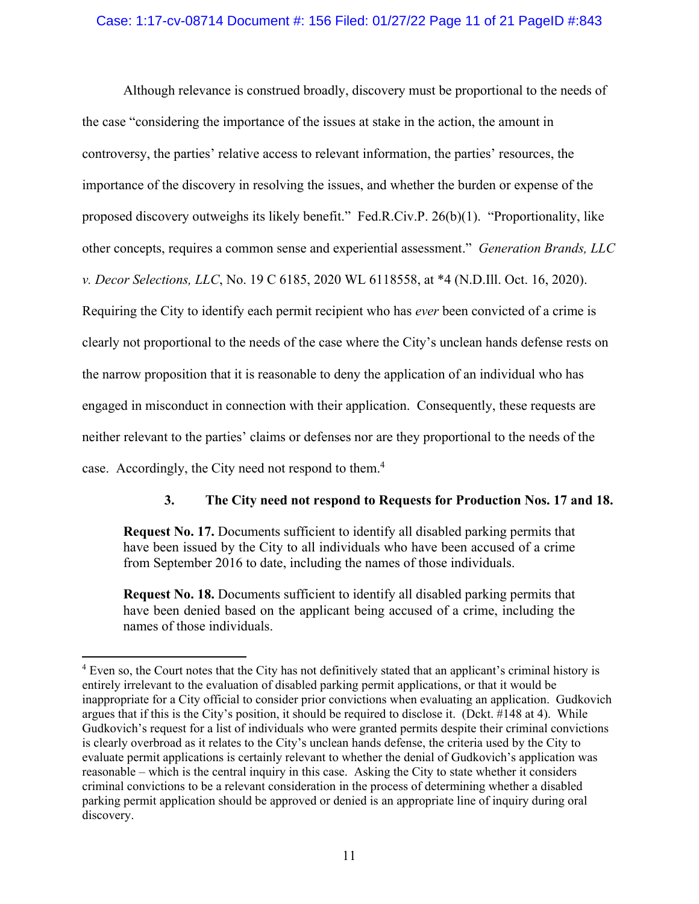### Case: 1:17-cv-08714 Document #: 156 Filed: 01/27/22 Page 11 of 21 PageID #:843

Although relevance is construed broadly, discovery must be proportional to the needs of the case "considering the importance of the issues at stake in the action, the amount in controversy, the parties' relative access to relevant information, the parties' resources, the importance of the discovery in resolving the issues, and whether the burden or expense of the proposed discovery outweighs its likely benefit." Fed.R.Civ.P. 26(b)(1). "Proportionality, like other concepts, requires a common sense and experiential assessment." *Generation Brands, LLC v. Decor Selections, LLC*, No. 19 C 6185, 2020 WL 6118558, at \*4 (N.D.Ill. Oct. 16, 2020). Requiring the City to identify each permit recipient who has *ever* been convicted of a crime is clearly not proportional to the needs of the case where the City's unclean hands defense rests on the narrow proposition that it is reasonable to deny the application of an individual who has engaged in misconduct in connection with their application. Consequently, these requests are neither relevant to the parties' claims or defenses nor are they proportional to the needs of the case. Accordingly, the City need not respond to them.<sup>4</sup>

### **3. The City need not respond to Requests for Production Nos. 17 and 18.**

**Request No. 17.** Documents sufficient to identify all disabled parking permits that have been issued by the City to all individuals who have been accused of a crime from September 2016 to date, including the names of those individuals.

**Request No. 18.** Documents sufficient to identify all disabled parking permits that have been denied based on the applicant being accused of a crime, including the names of those individuals.

<sup>&</sup>lt;sup>4</sup> Even so, the Court notes that the City has not definitively stated that an applicant's criminal history is entirely irrelevant to the evaluation of disabled parking permit applications, or that it would be inappropriate for a City official to consider prior convictions when evaluating an application. Gudkovich argues that if this is the City's position, it should be required to disclose it. (Dckt. #148 at 4). While Gudkovich's request for a list of individuals who were granted permits despite their criminal convictions is clearly overbroad as it relates to the City's unclean hands defense, the criteria used by the City to evaluate permit applications is certainly relevant to whether the denial of Gudkovich's application was reasonable – which is the central inquiry in this case. Asking the City to state whether it considers criminal convictions to be a relevant consideration in the process of determining whether a disabled parking permit application should be approved or denied is an appropriate line of inquiry during oral discovery.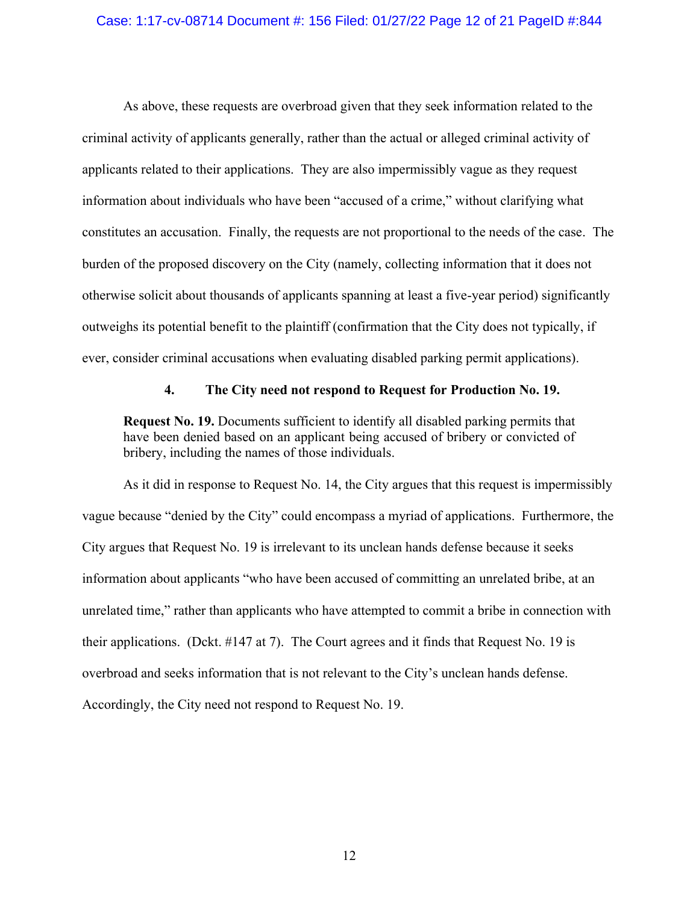#### Case: 1:17-cv-08714 Document #: 156 Filed: 01/27/22 Page 12 of 21 PageID #:844

As above, these requests are overbroad given that they seek information related to the criminal activity of applicants generally, rather than the actual or alleged criminal activity of applicants related to their applications. They are also impermissibly vague as they request information about individuals who have been "accused of a crime," without clarifying what constitutes an accusation. Finally, the requests are not proportional to the needs of the case. The burden of the proposed discovery on the City (namely, collecting information that it does not otherwise solicit about thousands of applicants spanning at least a five-year period) significantly outweighs its potential benefit to the plaintiff (confirmation that the City does not typically, if ever, consider criminal accusations when evaluating disabled parking permit applications).

#### **4. The City need not respond to Request for Production No. 19.**

**Request No. 19.** Documents sufficient to identify all disabled parking permits that have been denied based on an applicant being accused of bribery or convicted of bribery, including the names of those individuals.

As it did in response to Request No. 14, the City argues that this request is impermissibly vague because "denied by the City" could encompass a myriad of applications. Furthermore, the City argues that Request No. 19 is irrelevant to its unclean hands defense because it seeks information about applicants "who have been accused of committing an unrelated bribe, at an unrelated time," rather than applicants who have attempted to commit a bribe in connection with their applications. (Dckt. #147 at 7). The Court agrees and it finds that Request No. 19 is overbroad and seeks information that is not relevant to the City's unclean hands defense. Accordingly, the City need not respond to Request No. 19.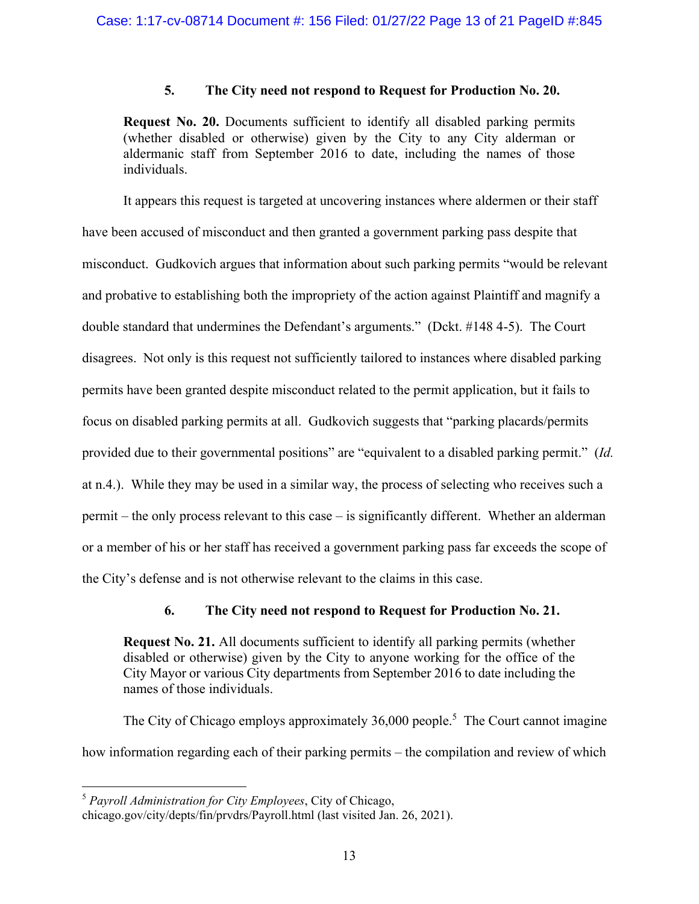### **5. The City need not respond to Request for Production No. 20.**

**Request No. 20.** Documents sufficient to identify all disabled parking permits (whether disabled or otherwise) given by the City to any City alderman or aldermanic staff from September 2016 to date, including the names of those individuals.

It appears this request is targeted at uncovering instances where aldermen or their staff have been accused of misconduct and then granted a government parking pass despite that misconduct. Gudkovich argues that information about such parking permits "would be relevant and probative to establishing both the impropriety of the action against Plaintiff and magnify a double standard that undermines the Defendant's arguments." (Dckt. #148 4-5). The Court disagrees. Not only is this request not sufficiently tailored to instances where disabled parking permits have been granted despite misconduct related to the permit application, but it fails to focus on disabled parking permits at all. Gudkovich suggests that "parking placards/permits provided due to their governmental positions" are "equivalent to a disabled parking permit." (*Id.*  at n.4.). While they may be used in a similar way, the process of selecting who receives such a permit – the only process relevant to this case – is significantly different. Whether an alderman or a member of his or her staff has received a government parking pass far exceeds the scope of the City's defense and is not otherwise relevant to the claims in this case.

# **6. The City need not respond to Request for Production No. 21.**

**Request No. 21.** All documents sufficient to identify all parking permits (whether disabled or otherwise) given by the City to anyone working for the office of the City Mayor or various City departments from September 2016 to date including the names of those individuals.

The City of Chicago employs approximately 36,000 people.<sup>5</sup> The Court cannot imagine how information regarding each of their parking permits – the compilation and review of which

<sup>5</sup> *Payroll Administration for City Employees*, City of Chicago,

chicago.gov/city/depts/fin/prvdrs/Payroll.html (last visited Jan. 26, 2021).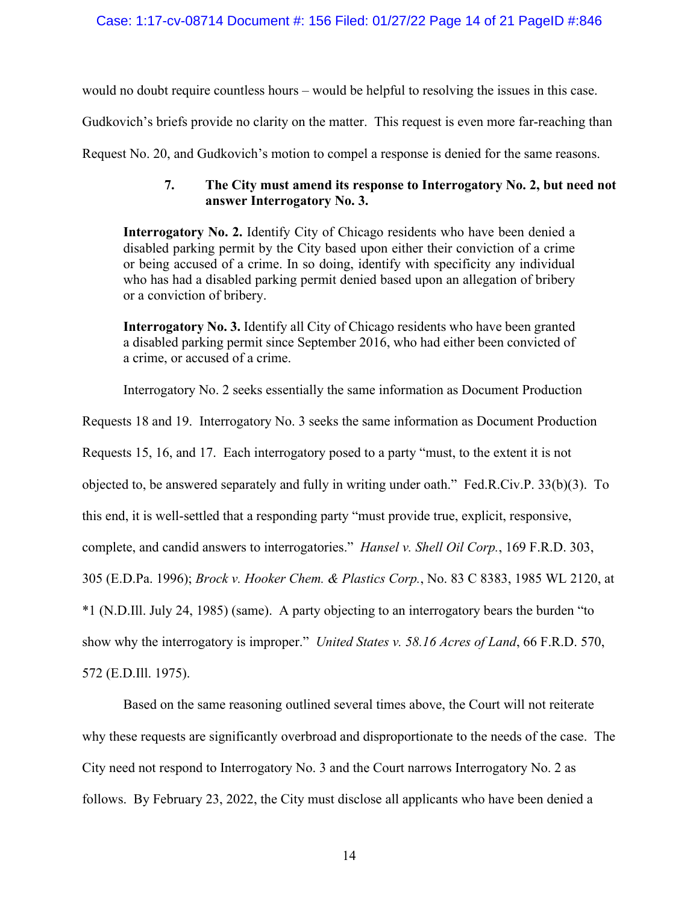would no doubt require countless hours – would be helpful to resolving the issues in this case.

Gudkovich's briefs provide no clarity on the matter. This request is even more far-reaching than

Request No. 20, and Gudkovich's motion to compel a response is denied for the same reasons.

# **7. The City must amend its response to Interrogatory No. 2, but need not answer Interrogatory No. 3.**

**Interrogatory No. 2.** Identify City of Chicago residents who have been denied a disabled parking permit by the City based upon either their conviction of a crime or being accused of a crime. In so doing, identify with specificity any individual who has had a disabled parking permit denied based upon an allegation of bribery or a conviction of bribery.

**Interrogatory No. 3.** Identify all City of Chicago residents who have been granted a disabled parking permit since September 2016, who had either been convicted of a crime, or accused of a crime.

Interrogatory No. 2 seeks essentially the same information as Document Production

Requests 18 and 19. Interrogatory No. 3 seeks the same information as Document Production

Requests 15, 16, and 17. Each interrogatory posed to a party "must, to the extent it is not

objected to, be answered separately and fully in writing under oath." Fed.R.Civ.P. 33(b)(3). To

this end, it is well-settled that a responding party "must provide true, explicit, responsive,

complete, and candid answers to interrogatories." *Hansel v. Shell Oil Corp.*, 169 F.R.D. 303,

305 (E.D.Pa. 1996); *Brock v. Hooker Chem. & Plastics Corp.*, No. 83 C 8383, 1985 WL 2120, at

\*1 (N.D.Ill. July 24, 1985) (same). A party objecting to an interrogatory bears the burden "to

show why the interrogatory is improper." *United States v. 58.16 Acres of Land*, 66 F.R.D. 570,

572 (E.D.Ill. 1975).

Based on the same reasoning outlined several times above, the Court will not reiterate why these requests are significantly overbroad and disproportionate to the needs of the case. The City need not respond to Interrogatory No. 3 and the Court narrows Interrogatory No. 2 as follows. By February 23, 2022, the City must disclose all applicants who have been denied a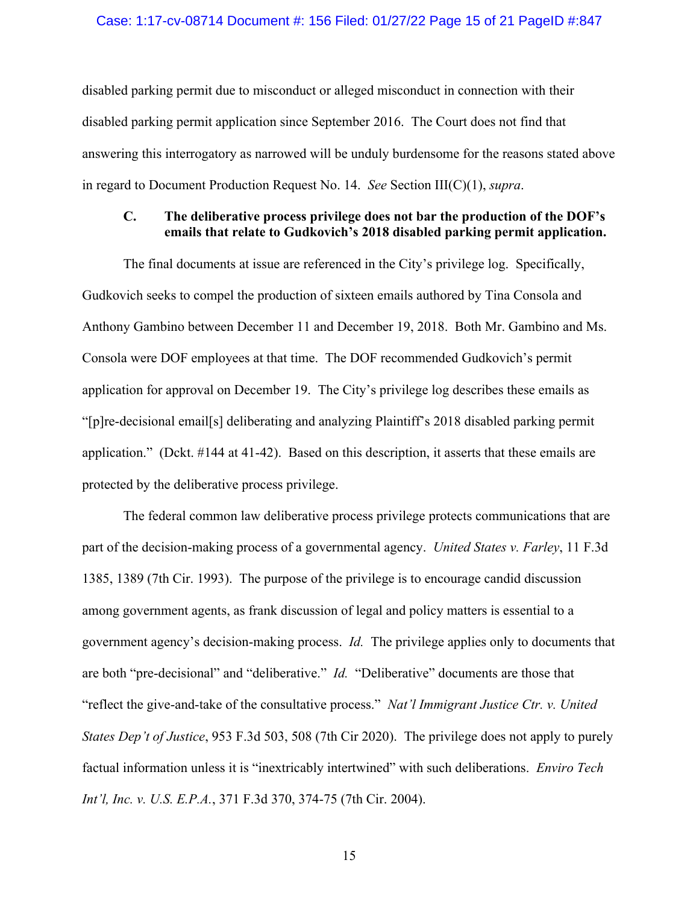#### Case: 1:17-cv-08714 Document #: 156 Filed: 01/27/22 Page 15 of 21 PageID #:847

disabled parking permit due to misconduct or alleged misconduct in connection with their disabled parking permit application since September 2016. The Court does not find that answering this interrogatory as narrowed will be unduly burdensome for the reasons stated above in regard to Document Production Request No. 14. *See* Section III(C)(1), *supra*.

### **C. The deliberative process privilege does not bar the production of the DOF's emails that relate to Gudkovich's 2018 disabled parking permit application.**

The final documents at issue are referenced in the City's privilege log. Specifically, Gudkovich seeks to compel the production of sixteen emails authored by Tina Consola and Anthony Gambino between December 11 and December 19, 2018. Both Mr. Gambino and Ms. Consola were DOF employees at that time. The DOF recommended Gudkovich's permit application for approval on December 19. The City's privilege log describes these emails as "[p]re-decisional email[s] deliberating and analyzing Plaintiff's 2018 disabled parking permit application." (Dckt. #144 at 41-42). Based on this description, it asserts that these emails are protected by the deliberative process privilege.

The federal common law deliberative process privilege protects communications that are part of the decision-making process of a governmental agency. *United States v. Farley*, 11 F.3d 1385, 1389 (7th Cir. 1993). The purpose of the privilege is to encourage candid discussion among government agents, as frank discussion of legal and policy matters is essential to a government agency's decision-making process. *Id.* The privilege applies only to documents that are both "pre-decisional" and "deliberative." *Id.* "Deliberative" documents are those that "reflect the give-and-take of the consultative process." *Nat'l Immigrant Justice Ctr. v. United States Dep't of Justice*, 953 F.3d 503, 508 (7th Cir 2020). The privilege does not apply to purely factual information unless it is "inextricably intertwined" with such deliberations. *Enviro Tech Int'l, Inc. v. U.S. E.P.A.*, 371 F.3d 370, 374-75 (7th Cir. 2004).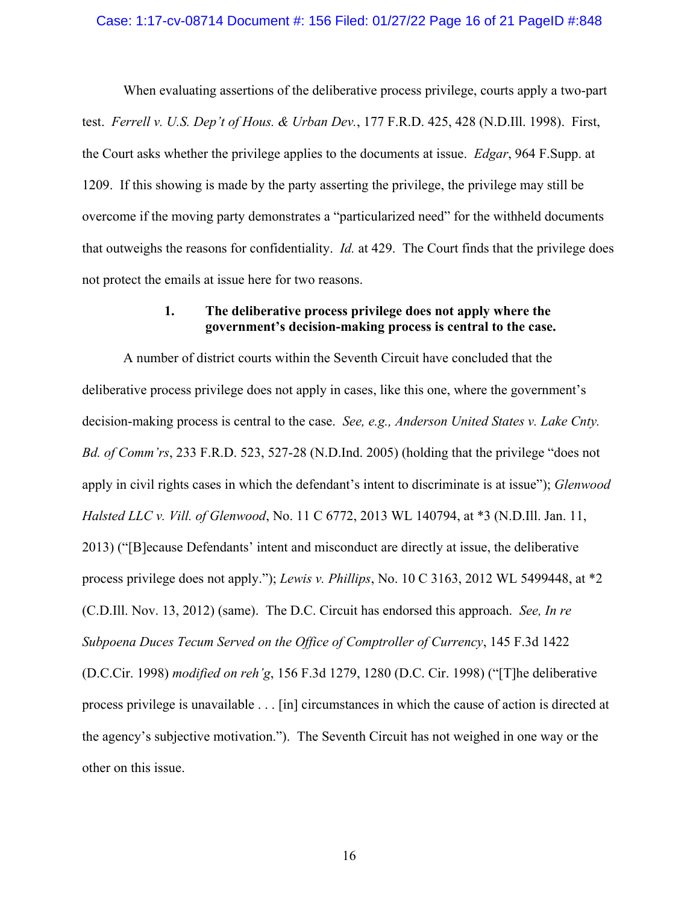When evaluating assertions of the deliberative process privilege, courts apply a two-part test. *Ferrell v. U.S. Dep't of Hous. & Urban Dev.*, 177 F.R.D. 425, 428 (N.D.Ill. 1998). First, the Court asks whether the privilege applies to the documents at issue. *Edgar*, 964 F.Supp. at 1209. If this showing is made by the party asserting the privilege, the privilege may still be overcome if the moving party demonstrates a "particularized need" for the withheld documents that outweighs the reasons for confidentiality. *Id.* at 429. The Court finds that the privilege does not protect the emails at issue here for two reasons.

### **1. The deliberative process privilege does not apply where the government's decision-making process is central to the case.**

A number of district courts within the Seventh Circuit have concluded that the deliberative process privilege does not apply in cases, like this one, where the government's decision-making process is central to the case. *See, e.g., Anderson United States v. Lake Cnty. Bd. of Comm'rs*, 233 F.R.D. 523, 527-28 (N.D.Ind. 2005) (holding that the privilege "does not apply in civil rights cases in which the defendant's intent to discriminate is at issue"); *Glenwood Halsted LLC v. Vill. of Glenwood*, No. 11 C 6772, 2013 WL 140794, at \*3 (N.D.Ill. Jan. 11, 2013) ("[B]ecause Defendants' intent and misconduct are directly at issue, the deliberative process privilege does not apply."); *Lewis v. Phillips*, No. 10 C 3163, 2012 WL 5499448, at \*2 (C.D.Ill. Nov. 13, 2012) (same). The D.C. Circuit has endorsed this approach. *See, In re Subpoena Duces Tecum Served on the Office of Comptroller of Currency*, 145 F.3d 1422 (D.C.Cir. 1998) *modified on reh'g*, 156 F.3d 1279, 1280 (D.C. Cir. 1998) ("[T]he deliberative process privilege is unavailable . . . [in] circumstances in which the cause of action is directed at the agency's subjective motivation."). The Seventh Circuit has not weighed in one way or the other on this issue.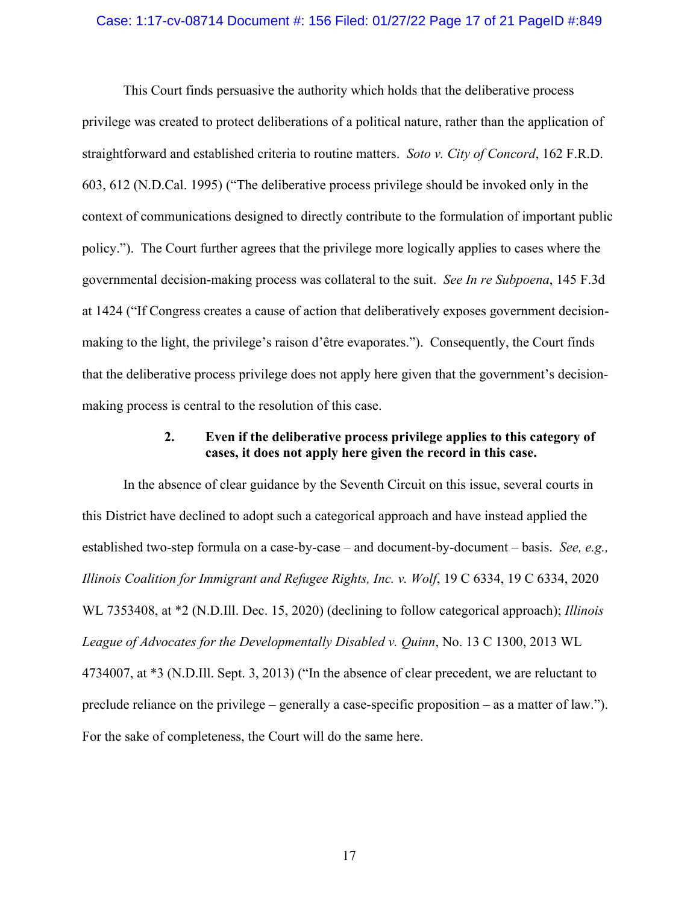#### Case: 1:17-cv-08714 Document #: 156 Filed: 01/27/22 Page 17 of 21 PageID #:849

This Court finds persuasive the authority which holds that the deliberative process privilege was created to protect deliberations of a political nature, rather than the application of straightforward and established criteria to routine matters. *Soto v. City of Concord*, 162 F.R.D. 603, 612 (N.D.Cal. 1995) ("The deliberative process privilege should be invoked only in the context of communications designed to directly contribute to the formulation of important public policy."). The Court further agrees that the privilege more logically applies to cases where the governmental decision-making process was collateral to the suit. *See In re Subpoena*, 145 F.3d at 1424 ("If Congress creates a cause of action that deliberatively exposes government decisionmaking to the light, the privilege's raison d'être evaporates."). Consequently, the Court finds that the deliberative process privilege does not apply here given that the government's decisionmaking process is central to the resolution of this case.

### **2. Even if the deliberative process privilege applies to this category of cases, it does not apply here given the record in this case.**

In the absence of clear guidance by the Seventh Circuit on this issue, several courts in this District have declined to adopt such a categorical approach and have instead applied the established two-step formula on a case-by-case – and document-by-document – basis. *See, e.g., Illinois Coalition for Immigrant and Refugee Rights, Inc. v. Wolf*, 19 C 6334, 19 C 6334, 2020 WL 7353408, at \*2 (N.D.Ill. Dec. 15, 2020) (declining to follow categorical approach); *Illinois League of Advocates for the Developmentally Disabled v. Quinn*, No. 13 C 1300, 2013 WL 4734007, at \*3 (N.D.Ill. Sept. 3, 2013) ("In the absence of clear precedent, we are reluctant to preclude reliance on the privilege – generally a case-specific proposition – as a matter of law."). For the sake of completeness, the Court will do the same here.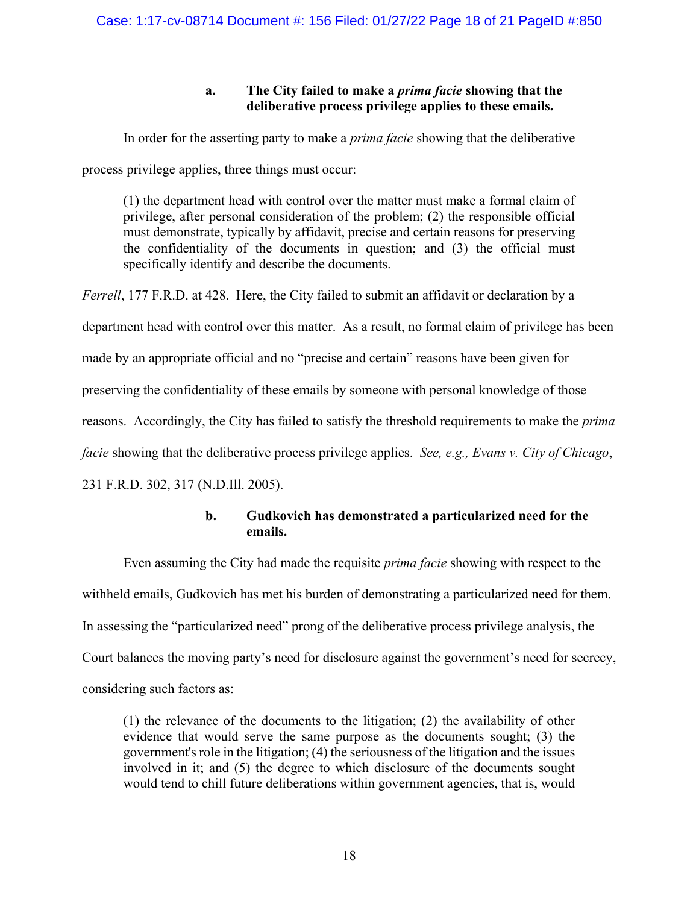## **a. The City failed to make a** *prima facie* **showing that the deliberative process privilege applies to these emails.**

In order for the asserting party to make a *prima facie* showing that the deliberative

process privilege applies, three things must occur:

(1) the department head with control over the matter must make a formal claim of privilege, after personal consideration of the problem; (2) the responsible official must demonstrate, typically by affidavit, precise and certain reasons for preserving the confidentiality of the documents in question; and (3) the official must specifically identify and describe the documents.

*Ferrell*, 177 F.R.D. at 428. Here, the City failed to submit an affidavit or declaration by a department head with control over this matter. As a result, no formal claim of privilege has been made by an appropriate official and no "precise and certain" reasons have been given for preserving the confidentiality of these emails by someone with personal knowledge of those reasons. Accordingly, the City has failed to satisfy the threshold requirements to make the *prima facie* showing that the deliberative process privilege applies. *See, e.g., Evans v. City of Chicago*, 231 F.R.D. 302, 317 (N.D.Ill. 2005).

## **b. Gudkovich has demonstrated a particularized need for the emails.**

Even assuming the City had made the requisite *prima facie* showing with respect to the withheld emails, Gudkovich has met his burden of demonstrating a particularized need for them. In assessing the "particularized need" prong of the deliberative process privilege analysis, the Court balances the moving party's need for disclosure against the government's need for secrecy, considering such factors as:

(1) the relevance of the documents to the litigation; (2) the availability of other evidence that would serve the same purpose as the documents sought; (3) the government's role in the litigation; (4) the seriousness of the litigation and the issues involved in it; and (5) the degree to which disclosure of the documents sought would tend to chill future deliberations within government agencies, that is, would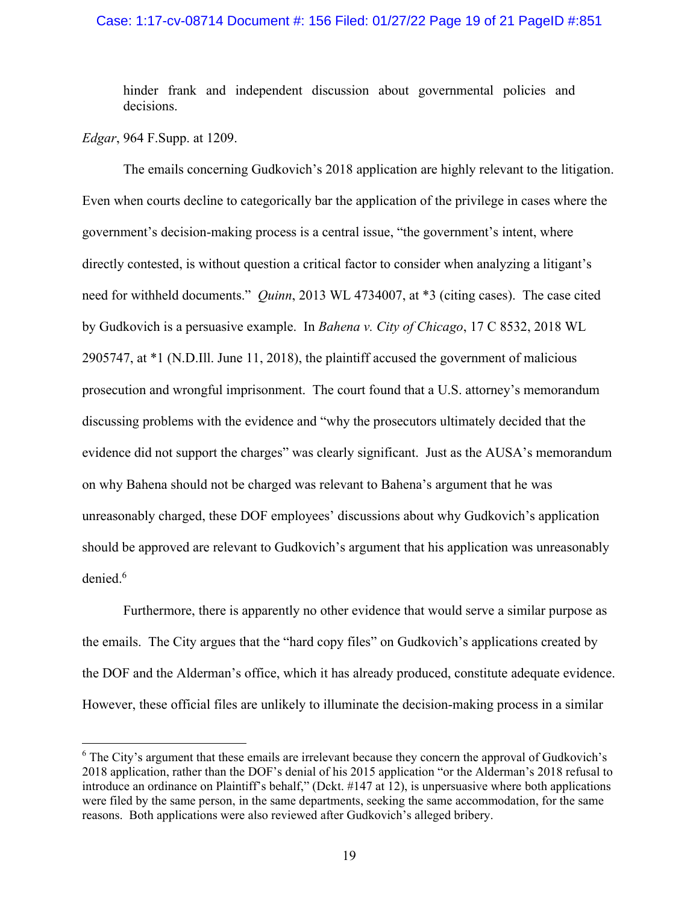### Case: 1:17-cv-08714 Document #: 156 Filed: 01/27/22 Page 19 of 21 PageID #:851

hinder frank and independent discussion about governmental policies and decisions.

*Edgar*, 964 F.Supp. at 1209.

The emails concerning Gudkovich's 2018 application are highly relevant to the litigation. Even when courts decline to categorically bar the application of the privilege in cases where the government's decision-making process is a central issue, "the government's intent, where directly contested, is without question a critical factor to consider when analyzing a litigant's need for withheld documents." *Quinn*, 2013 WL 4734007, at \*3 (citing cases). The case cited by Gudkovich is a persuasive example. In *Bahena v. City of Chicago*, 17 C 8532, 2018 WL 2905747, at \*1 (N.D.Ill. June 11, 2018), the plaintiff accused the government of malicious prosecution and wrongful imprisonment. The court found that a U.S. attorney's memorandum discussing problems with the evidence and "why the prosecutors ultimately decided that the evidence did not support the charges" was clearly significant. Just as the AUSA's memorandum on why Bahena should not be charged was relevant to Bahena's argument that he was unreasonably charged, these DOF employees' discussions about why Gudkovich's application should be approved are relevant to Gudkovich's argument that his application was unreasonably denied. 6

Furthermore, there is apparently no other evidence that would serve a similar purpose as the emails. The City argues that the "hard copy files" on Gudkovich's applications created by the DOF and the Alderman's office, which it has already produced, constitute adequate evidence. However, these official files are unlikely to illuminate the decision-making process in a similar

<sup>&</sup>lt;sup>6</sup> The City's argument that these emails are irrelevant because they concern the approval of Gudkovich's 2018 application, rather than the DOF's denial of his 2015 application "or the Alderman's 2018 refusal to introduce an ordinance on Plaintiff's behalf," (Dckt. #147 at 12), is unpersuasive where both applications were filed by the same person, in the same departments, seeking the same accommodation, for the same reasons. Both applications were also reviewed after Gudkovich's alleged bribery.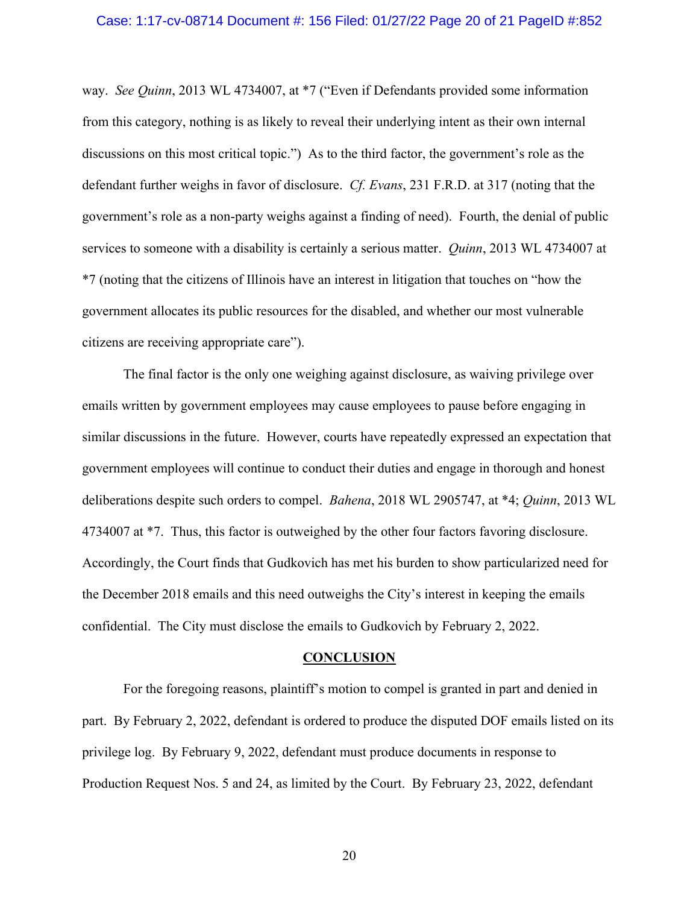#### Case: 1:17-cv-08714 Document #: 156 Filed: 01/27/22 Page 20 of 21 PageID #:852

way. *See Quinn*, 2013 WL 4734007, at \*7 ("Even if Defendants provided some information from this category, nothing is as likely to reveal their underlying intent as their own internal discussions on this most critical topic.") As to the third factor, the government's role as the defendant further weighs in favor of disclosure. *Cf. Evans*, 231 F.R.D. at 317 (noting that the government's role as a non-party weighs against a finding of need). Fourth, the denial of public services to someone with a disability is certainly a serious matter. *Quinn*, 2013 WL 4734007 at \*7 (noting that the citizens of Illinois have an interest in litigation that touches on "how the government allocates its public resources for the disabled, and whether our most vulnerable citizens are receiving appropriate care").

The final factor is the only one weighing against disclosure, as waiving privilege over emails written by government employees may cause employees to pause before engaging in similar discussions in the future. However, courts have repeatedly expressed an expectation that government employees will continue to conduct their duties and engage in thorough and honest deliberations despite such orders to compel. *Bahena*, 2018 WL 2905747, at \*4; *Quinn*, 2013 WL 4734007 at \*7. Thus, this factor is outweighed by the other four factors favoring disclosure. Accordingly, the Court finds that Gudkovich has met his burden to show particularized need for the December 2018 emails and this need outweighs the City's interest in keeping the emails confidential. The City must disclose the emails to Gudkovich by February 2, 2022.

#### **CONCLUSION**

For the foregoing reasons, plaintiff's motion to compel is granted in part and denied in part. By February 2, 2022, defendant is ordered to produce the disputed DOF emails listed on its privilege log. By February 9, 2022, defendant must produce documents in response to Production Request Nos. 5 and 24, as limited by the Court. By February 23, 2022, defendant